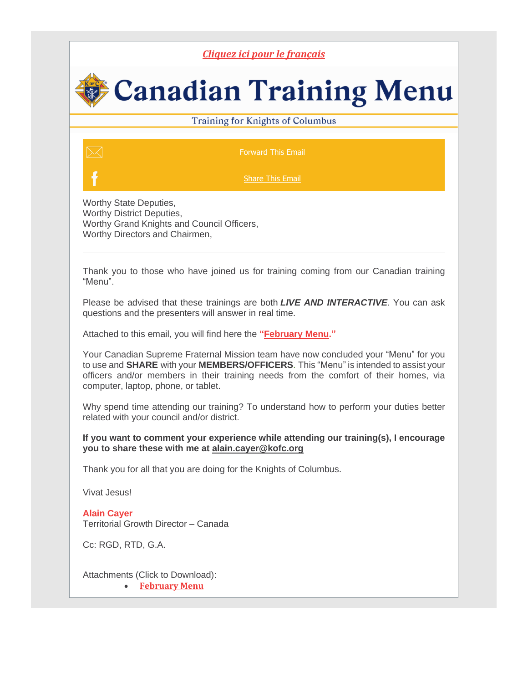## *Cliquez ici pour le [français](https://r20.rs6.net/tn.jsp?f=001gyZvYwtZOA0tPy3mWrR2bIdtK_Nf7HQKmHFe5bGpBZGlWfUnE-zKF2H9sy8YMs2b8bus0Ehx2CFk1H1-tLItr7TUsQBUCua5ntTW3Gn9DXa1Jht6hx_0Hea6E4vO4htd_N0hqLTMe7VQ2i1KzmEMSw==&c=rkJMgzq52EVeVNSyTyS-yacZ9pmyDaEykWTMnvGhoacqCauaysYuUw==&ch=rVO_p1B7Pn1ML02KVj5oCILaCaO7bi4v4hYElScJYx38xUjgKk3EQA==)*

## **Canadian Training Menu**

## Training for Knights of Columbus

[Forward](mailto:?subject=TRAINING%3A%20Canadian%20Training%20Menu%20for%20February&body=https://conta.cc/3u3jOrY) This Email

**[Share](https://r20.rs6.net/tn.jsp?f=001gyZvYwtZOA0tPy3mWrR2bIdtK_Nf7HQKmHFe5bGpBZGlWfUnE-zKF2H9sy8YMs2bUib-kNMQ3k4aS7oHTPZBmsmw5IKC7pJijOxSdeFH1LGNCxemJq7Wea49Iaid-GMhK2SPVLePKZs0kjY8EMko4rDCBcNB5kqJgS3-edIXwWvN53g3t8zeNq0-gxksTkhzStbEacIFCfQ-vlHMrj6agYdpQTTpY1Tt&c=rkJMgzq52EVeVNSyTyS-yacZ9pmyDaEykWTMnvGhoacqCauaysYuUw==&ch=rVO_p1B7Pn1ML02KVj5oCILaCaO7bi4v4hYElScJYx38xUjgKk3EQA==) This Email** 

Worthy State Deputies, Worthy District Deputies, Worthy Grand Knights and Council Officers, Worthy Directors and Chairmen,

Thank you to those who have joined us for training coming from our Canadian training "Menu".

Please be advised that these trainings are both *LIVE AND INTERACTIVE*. You can ask questions and the presenters will answer in real time.

Attached to this email, you will find here the **["February](https://r20.rs6.net/tn.jsp?f=001gyZvYwtZOA0tPy3mWrR2bIdtK_Nf7HQKmHFe5bGpBZGlWfUnE-zKF2H9sy8YMs2bGkskmiB4YaxOzSDF6mCPpOWRKzllCNkyI1oLBd4jgN7p2qFJsMLZEFxg9GQ1uEZitywamOtobfICD0ga-l59-1ZgRXUyg8h9Nc7nsIk9AvW7Dq0fExzFlRKxUkNKDb2uoHSmlq0qf1xW3vE69cCRxkOQOGBkuGdwBOMMnEuI644=&c=rkJMgzq52EVeVNSyTyS-yacZ9pmyDaEykWTMnvGhoacqCauaysYuUw==&ch=rVO_p1B7Pn1ML02KVj5oCILaCaO7bi4v4hYElScJYx38xUjgKk3EQA==) Menu."**

Your Canadian Supreme Fraternal Mission team have now concluded your "Menu" for you to use and **SHARE** with your **MEMBERS/OFFICERS**. This "Menu" is intended to assist your officers and/or members in their training needs from the comfort of their homes, via computer, laptop, phone, or tablet.

Why spend time attending our training? To understand how to perform your duties better related with your council and/or district.

## **If you want to comment your experience while attending our training(s), I encourage you to share these with me at [alain.cayer@kofc.org](mailto:alain.cayer@kofc.org)**

Thank you for all that you are doing for the Knights of Columbus.

Vivat Jesus!

**Alain Cayer** Territorial Growth Director – Canada

Cc: RGD, RTD, G.A.

Attachments (Click to Download):

• **[February](https://r20.rs6.net/tn.jsp?f=001gyZvYwtZOA0tPy3mWrR2bIdtK_Nf7HQKmHFe5bGpBZGlWfUnE-zKF2H9sy8YMs2bGkskmiB4YaxOzSDF6mCPpOWRKzllCNkyI1oLBd4jgN7p2qFJsMLZEFxg9GQ1uEZitywamOtobfICD0ga-l59-1ZgRXUyg8h9Nc7nsIk9AvW7Dq0fExzFlRKxUkNKDb2uoHSmlq0qf1xW3vE69cCRxkOQOGBkuGdwBOMMnEuI644=&c=rkJMgzq52EVeVNSyTyS-yacZ9pmyDaEykWTMnvGhoacqCauaysYuUw==&ch=rVO_p1B7Pn1ML02KVj5oCILaCaO7bi4v4hYElScJYx38xUjgKk3EQA==) Menu**